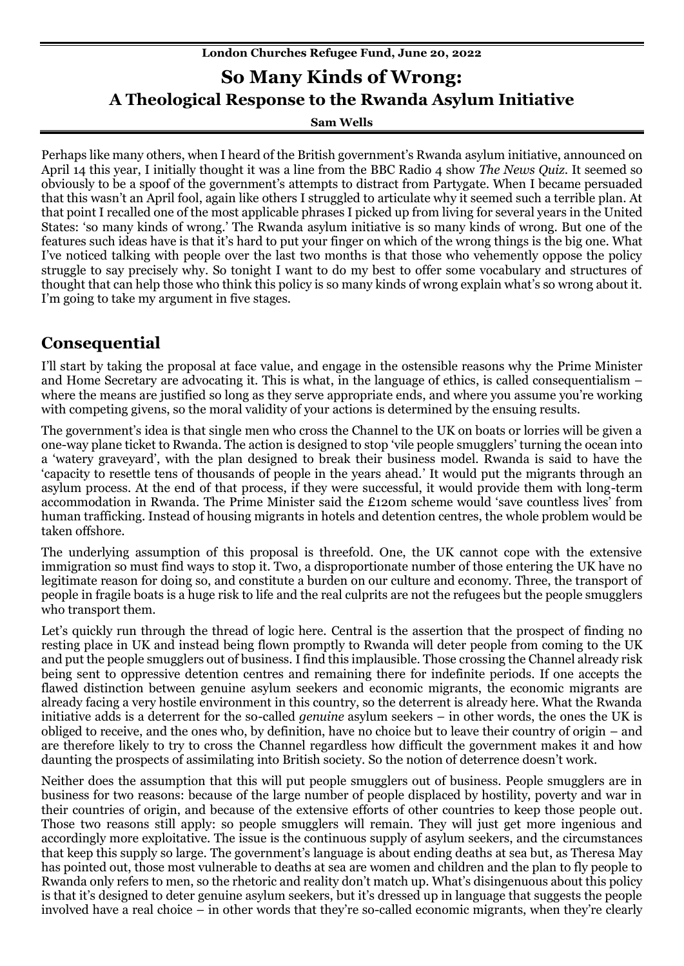# **London Churches Refugee Fund, June 20, 2022 So Many Kinds of Wrong: A Theological Response to the Rwanda Asylum Initiative**

**Sam Wells**

Perhaps like many others, when I heard of the British government's Rwanda asylum initiative, announced on April 14 this year, I initially thought it was a line from the BBC Radio 4 show *The News Quiz*. It seemed so obviously to be a spoof of the government's attempts to distract from Partygate. When I became persuaded that this wasn't an April fool, again like others I struggled to articulate why it seemed such a terrible plan. At that point I recalled one of the most applicable phrases I picked up from living for several years in the United States: 'so many kinds of wrong.' The Rwanda asylum initiative is so many kinds of wrong. But one of the features such ideas have is that it's hard to put your finger on which of the wrong things is the big one. What I've noticed talking with people over the last two months is that those who vehemently oppose the policy struggle to say precisely why. So tonight I want to do my best to offer some vocabulary and structures of thought that can help those who think this policy is so many kinds of wrong explain what's so wrong about it. I'm going to take my argument in five stages.

## **Consequential**

I'll start by taking the proposal at face value, and engage in the ostensible reasons why the Prime Minister and Home Secretary are advocating it. This is what, in the language of ethics, is called consequentialism – where the means are justified so long as they serve appropriate ends, and where you assume you're working with competing givens, so the moral validity of your actions is determined by the ensuing results.

The government's idea is that single men who cross the Channel to the UK on boats or lorries will be given a one-way plane ticket to Rwanda. The action is designed to stop 'vile people smugglers' turning the ocean into a 'watery graveyard', with the plan designed to break their business model. Rwanda is said to have the 'capacity to resettle tens of thousands of people in the years ahead.' It would put the migrants through an asylum process. At the end of that process, if they were successful, it would provide them with long-term accommodation in Rwanda. The Prime Minister said the £120m scheme would 'save countless lives' from human trafficking. Instead of housing migrants in hotels and detention centres, the whole problem would be taken offshore.

The underlying assumption of this proposal is threefold. One, the UK cannot cope with the extensive immigration so must find ways to stop it. Two, a disproportionate number of those entering the UK have no legitimate reason for doing so, and constitute a burden on our culture and economy. Three, the transport of people in fragile boats is a huge risk to life and the real culprits are not the refugees but the people smugglers who transport them.

Let's quickly run through the thread of logic here. Central is the assertion that the prospect of finding no resting place in UK and instead being flown promptly to Rwanda will deter people from coming to the UK and put the people smugglers out of business. I find this implausible. Those crossing the Channel already risk being sent to oppressive detention centres and remaining there for indefinite periods. If one accepts the flawed distinction between genuine asylum seekers and economic migrants, the economic migrants are already facing a very hostile environment in this country, so the deterrent is already here. What the Rwanda initiative adds is a deterrent for the so-called *genuine* asylum seekers – in other words, the ones the UK is obliged to receive, and the ones who, by definition, have no choice but to leave their country of origin – and are therefore likely to try to cross the Channel regardless how difficult the government makes it and how daunting the prospects of assimilating into British society. So the notion of deterrence doesn't work.

Neither does the assumption that this will put people smugglers out of business. People smugglers are in business for two reasons: because of the large number of people displaced by hostility, poverty and war in their countries of origin, and because of the extensive efforts of other countries to keep those people out. Those two reasons still apply: so people smugglers will remain. They will just get more ingenious and accordingly more exploitative. The issue is the continuous supply of asylum seekers, and the circumstances that keep this supply so large. The government's language is about ending deaths at sea but, as Theresa May has pointed out, those most vulnerable to deaths at sea are women and children and the plan to fly people to Rwanda only refers to men, so the rhetoric and reality don't match up. What's disingenuous about this policy is that it's designed to deter genuine asylum seekers, but it's dressed up in language that suggests the people involved have a real choice – in other words that they're so-called economic migrants, when they're clearly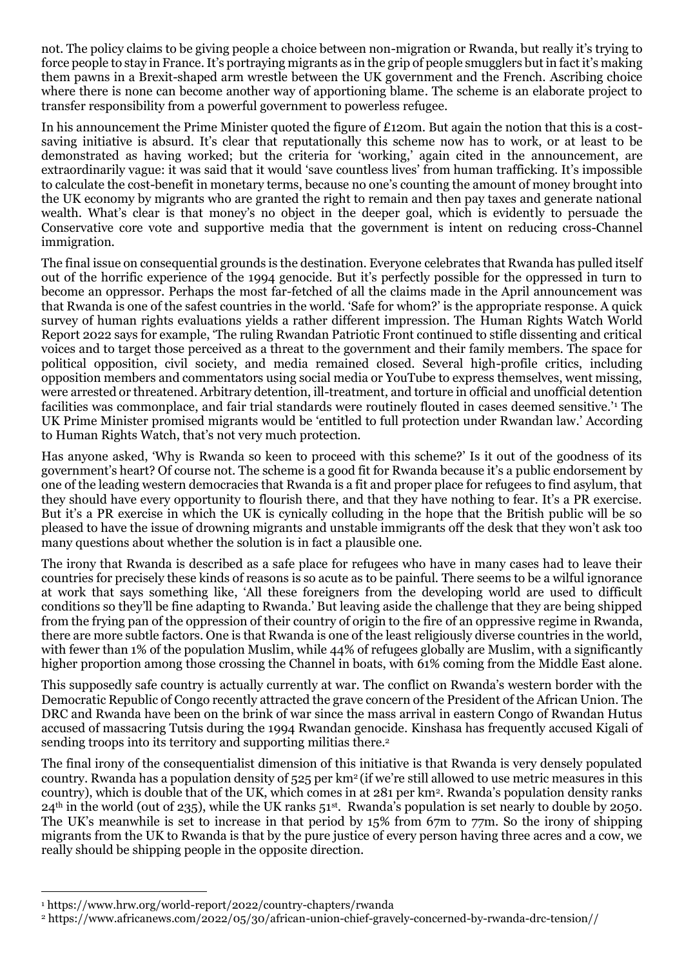not. The policy claims to be giving people a choice between non-migration or Rwanda, but really it's trying to force people to stay in France. It's portraying migrants as in the grip of people smugglers but in fact it's making them pawns in a Brexit-shaped arm wrestle between the UK government and the French. Ascribing choice where there is none can become another way of apportioning blame. The scheme is an elaborate project to transfer responsibility from a powerful government to powerless refugee.

In his announcement the Prime Minister quoted the figure of £120m. But again the notion that this is a costsaving initiative is absurd. It's clear that reputationally this scheme now has to work, or at least to be demonstrated as having worked; but the criteria for 'working,' again cited in the announcement, are extraordinarily vague: it was said that it would 'save countless lives' from human trafficking. It's impossible to calculate the cost-benefit in monetary terms, because no one's counting the amount of money brought into the UK economy by migrants who are granted the right to remain and then pay taxes and generate national wealth. What's clear is that money's no object in the deeper goal, which is evidently to persuade the Conservative core vote and supportive media that the government is intent on reducing cross-Channel immigration.

The final issue on consequential grounds is the destination. Everyone celebrates that Rwanda has pulled itself out of the horrific experience of the 1994 genocide. But it's perfectly possible for the oppressed in turn to become an oppressor. Perhaps the most far-fetched of all the claims made in the April announcement was that Rwanda is one of the safest countries in the world. 'Safe for whom?' is the appropriate response. A quick survey of human rights evaluations yields a rather different impression. The Human Rights Watch World Report 2022 says for example, 'The ruling Rwandan Patriotic Front continued to stifle dissenting and critical voices and to target those perceived as a threat to the government and their family members. The space for political opposition, civil society, and media remained closed. Several high-profile critics, including opposition members and commentators using social media or YouTube to express themselves, went missing, were arrested or threatened. Arbitrary detention, ill-treatment, and torture in official and unofficial detention facilities was commonplace, and fair trial standards were routinely flouted in cases deemed sensitive.'<sup>1</sup> The UK Prime Minister promised migrants would be 'entitled to full protection under Rwandan law.' According to Human Rights Watch, that's not very much protection.

Has anyone asked, 'Why is Rwanda so keen to proceed with this scheme?' Is it out of the goodness of its government's heart? Of course not. The scheme is a good fit for Rwanda because it's a public endorsement by one of the leading western democracies that Rwanda is a fit and proper place for refugees to find asylum, that they should have every opportunity to flourish there, and that they have nothing to fear. It's a PR exercise. But it's a PR exercise in which the UK is cynically colluding in the hope that the British public will be so pleased to have the issue of drowning migrants and unstable immigrants off the desk that they won't ask too many questions about whether the solution is in fact a plausible one.

The irony that Rwanda is described as a safe place for refugees who have in many cases had to leave their countries for precisely these kinds of reasons is so acute as to be painful. There seems to be a wilful ignorance at work that says something like, 'All these foreigners from the developing world are used to difficult conditions so they'll be fine adapting to Rwanda.' But leaving aside the challenge that they are being shipped from the frying pan of the oppression of their country of origin to the fire of an oppressive regime in Rwanda, there are more subtle factors. One is that Rwanda is one of the least religiously diverse countries in the world, with fewer than 1% of the population Muslim, while 44% of refugees globally are Muslim, with a significantly higher proportion among those crossing the Channel in boats, with 61% coming from the Middle East alone.

This supposedly safe country is actually currently at war. The conflict on Rwanda's western border with the Democratic Republic of Congo recently attracted the grave concern of the President of the African Union. The DRC and Rwanda have been on the brink of war since the mass arrival in eastern Congo of Rwandan Hutus accused of massacring Tutsis during the 1994 Rwandan genocide. Kinshasa has frequently accused Kigali of sending troops into its territory and supporting militias there.<sup>2</sup>

The final irony of the consequentialist dimension of this initiative is that Rwanda is very densely populated country. Rwanda has a population density of 525 per km2 (if we're still allowed to use metric measures in this country), which is double that of the UK, which comes in at 281 per km<sup>2</sup> . Rwanda's population density ranks  $24<sup>th</sup>$  in the world (out of 235), while the UK ranks 51<sup>st</sup>. Rwanda's population is set nearly to double by 2050. The UK's meanwhile is set to increase in that period by 15% from 67m to 77m. So the irony of shipping migrants from the UK to Rwanda is that by the pure justice of every person having three acres and a cow, we really should be shipping people in the opposite direction.

<sup>1</sup> <https://www.hrw.org/world-report/2022/country-chapters/rwanda>

<sup>2</sup> https://www.africanews.com/2022/05/30/african-union-chief-gravely-concerned-by-rwanda-drc-tension//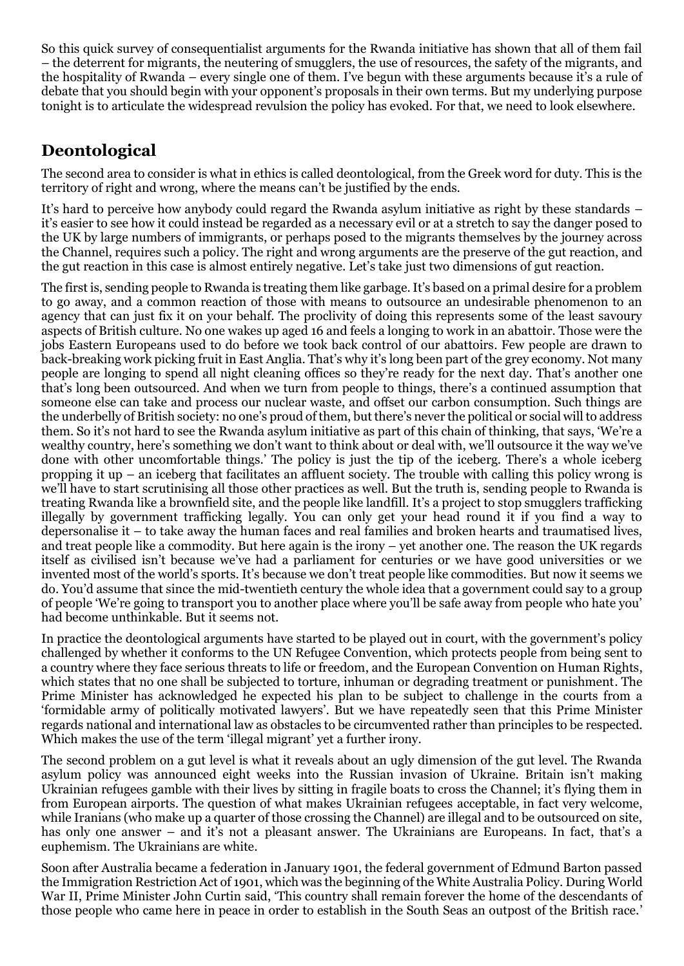So this quick survey of consequentialist arguments for the Rwanda initiative has shown that all of them fail – the deterrent for migrants, the neutering of smugglers, the use of resources, the safety of the migrants, and the hospitality of Rwanda – every single one of them. I've begun with these arguments because it's a rule of debate that you should begin with your opponent's proposals in their own terms. But my underlying purpose tonight is to articulate the widespread revulsion the policy has evoked. For that, we need to look elsewhere.

# **Deontological**

The second area to consider is what in ethics is called deontological, from the Greek word for duty. This is the territory of right and wrong, where the means can't be justified by the ends.

It's hard to perceive how anybody could regard the Rwanda asylum initiative as right by these standards – it's easier to see how it could instead be regarded as a necessary evil or at a stretch to say the danger posed to the UK by large numbers of immigrants, or perhaps posed to the migrants themselves by the journey across the Channel, requires such a policy. The right and wrong arguments are the preserve of the gut reaction, and the gut reaction in this case is almost entirely negative. Let's take just two dimensions of gut reaction.

The first is, sending people to Rwanda is treating them like garbage. It's based on a primal desire for a problem to go away, and a common reaction of those with means to outsource an undesirable phenomenon to an agency that can just fix it on your behalf. The proclivity of doing this represents some of the least savoury aspects of British culture. No one wakes up aged 16 and feels a longing to work in an abattoir. Those were the jobs Eastern Europeans used to do before we took back control of our abattoirs. Few people are drawn to back-breaking work picking fruit in East Anglia. That's why it's long been part of the grey economy. Not many people are longing to spend all night cleaning offices so they're ready for the next day. That's another one that's long been outsourced. And when we turn from people to things, there's a continued assumption that someone else can take and process our nuclear waste, and offset our carbon consumption. Such things are the underbelly of British society: no one's proud of them, but there's never the political or social will to address them. So it's not hard to see the Rwanda asylum initiative as part of this chain of thinking, that says, 'We're a wealthy country, here's something we don't want to think about or deal with, we'll outsource it the way we've done with other uncomfortable things.' The policy is just the tip of the iceberg. There's a whole iceberg propping it up – an iceberg that facilitates an affluent society. The trouble with calling this policy wrong is we'll have to start scrutinising all those other practices as well. But the truth is, sending people to Rwanda is treating Rwanda like a brownfield site, and the people like landfill. It's a project to stop smugglers trafficking illegally by government trafficking legally. You can only get your head round it if you find a way to depersonalise it – to take away the human faces and real families and broken hearts and traumatised lives, and treat people like a commodity. But here again is the irony – yet another one. The reason the UK regards itself as civilised isn't because we've had a parliament for centuries or we have good universities or we invented most of the world's sports. It's because we don't treat people like commodities. But now it seems we do. You'd assume that since the mid-twentieth century the whole idea that a government could say to a group of people 'We're going to transport you to another place where you'll be safe away from people who hate you' had become unthinkable. But it seems not.

In practice the deontological arguments have started to be played out in court, with the government's policy challenged by whether it conforms to the UN Refugee Convention, which protects people from being sent to a country where they face serious threats to life or freedom, and the European Convention on Human Rights, which states that no one shall be subjected to torture, inhuman or degrading treatment or punishment. The Prime Minister has acknowledged he expected his plan to be subject to challenge in the courts from a 'formidable army of politically motivated lawyers'. But we have repeatedly seen that this Prime Minister regards national and international law as obstacles to be circumvented rather than principles to be respected. Which makes the use of the term 'illegal migrant' yet a further irony.

The second problem on a gut level is what it reveals about an ugly dimension of the gut level. The Rwanda asylum policy was announced eight weeks into the Russian invasion of Ukraine. Britain isn't making Ukrainian refugees gamble with their lives by sitting in fragile boats to cross the Channel; it's flying them in from European airports. The question of what makes Ukrainian refugees acceptable, in fact very welcome, while Iranians (who make up a quarter of those crossing the Channel) are illegal and to be outsourced on site, has only one answer – and it's not a pleasant answer. The Ukrainians are Europeans. In fact, that's a euphemism. The Ukrainians are white.

Soon after Australia became a federation in January 1901, the federal government of Edmund Barton passed the Immigration Restriction Act of 1901, which was the beginning of the White Australia Policy. During World War II, Prime Minister John Curtin said, 'This country shall remain forever the home of the descendants of those people who came here in peace in order to establish in the South Seas an outpost of the British race.'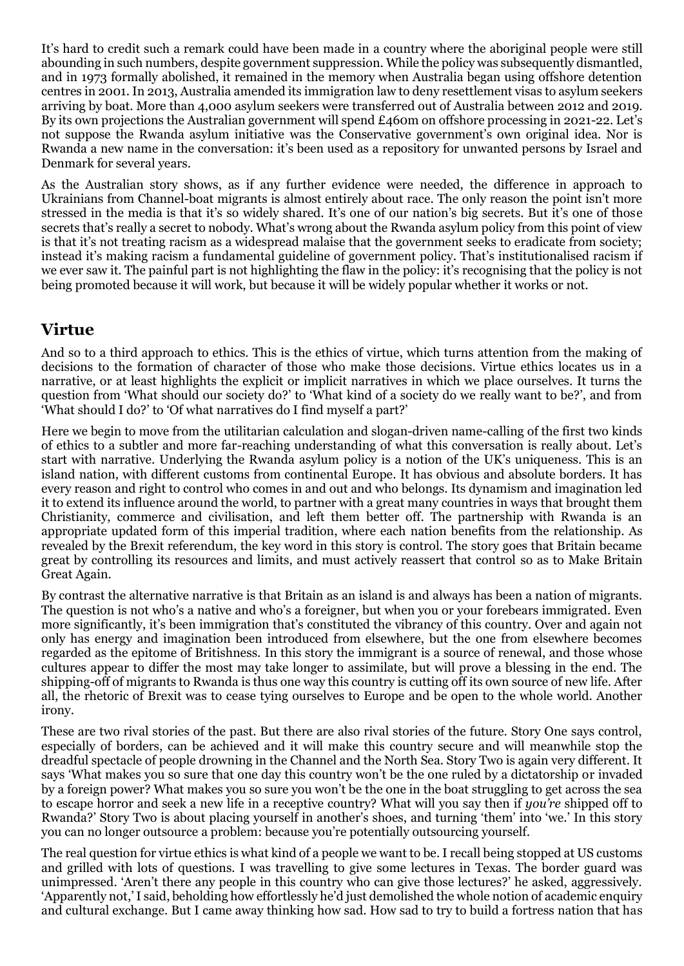It's hard to credit such a remark could have been made in a country where the aboriginal people were still abounding in such numbers, despite government suppression. While the policy was subsequently dismantled, and in 1973 formally abolished, it remained in the memory when Australia began using offshore detention centres in 2001. In 2013, Australia amended its immigration law to deny resettlement visas to asylum seekers arriving by boat. More than 4,000 asylum seekers were transferred out of Australia between 2012 and 2019. By its own projections the Australian government will spend £460m on offshore processing in 2021-22. Let's not suppose the Rwanda asylum initiative was the Conservative government's own original idea. Nor is Rwanda a new name in the conversation: it's been used as a repository for unwanted persons by Israel and Denmark for several years.

As the Australian story shows, as if any further evidence were needed, the difference in approach to Ukrainians from Channel-boat migrants is almost entirely about race. The only reason the point isn't more stressed in the media is that it's so widely shared. It's one of our nation's big secrets. But it's one of those secrets that's really a secret to nobody. What's wrong about the Rwanda asylum policy from this point of view is that it's not treating racism as a widespread malaise that the government seeks to eradicate from society; instead it's making racism a fundamental guideline of government policy. That's institutionalised racism if we ever saw it. The painful part is not highlighting the flaw in the policy: it's recognising that the policy is not being promoted because it will work, but because it will be widely popular whether it works or not.

#### **Virtue**

And so to a third approach to ethics. This is the ethics of virtue, which turns attention from the making of decisions to the formation of character of those who make those decisions. Virtue ethics locates us in a narrative, or at least highlights the explicit or implicit narratives in which we place ourselves. It turns the question from 'What should our society do?' to 'What kind of a society do we really want to be?', and from 'What should I do?' to 'Of what narratives do I find myself a part?'

Here we begin to move from the utilitarian calculation and slogan-driven name-calling of the first two kinds of ethics to a subtler and more far-reaching understanding of what this conversation is really about. Let's start with narrative. Underlying the Rwanda asylum policy is a notion of the UK's uniqueness. This is an island nation, with different customs from continental Europe. It has obvious and absolute borders. It has every reason and right to control who comes in and out and who belongs. Its dynamism and imagination led it to extend its influence around the world, to partner with a great many countries in ways that brought them Christianity, commerce and civilisation, and left them better off. The partnership with Rwanda is an appropriate updated form of this imperial tradition, where each nation benefits from the relationship. As revealed by the Brexit referendum, the key word in this story is control. The story goes that Britain became great by controlling its resources and limits, and must actively reassert that control so as to Make Britain Great Again.

By contrast the alternative narrative is that Britain as an island is and always has been a nation of migrants. The question is not who's a native and who's a foreigner, but when you or your forebears immigrated. Even more significantly, it's been immigration that's constituted the vibrancy of this country. Over and again not only has energy and imagination been introduced from elsewhere, but the one from elsewhere becomes regarded as the epitome of Britishness. In this story the immigrant is a source of renewal, and those whose cultures appear to differ the most may take longer to assimilate, but will prove a blessing in the end. The shipping-off of migrants to Rwanda is thus one way this country is cutting off its own source of new life. After all, the rhetoric of Brexit was to cease tying ourselves to Europe and be open to the whole world. Another irony.

These are two rival stories of the past. But there are also rival stories of the future. Story One says control, especially of borders, can be achieved and it will make this country secure and will meanwhile stop the dreadful spectacle of people drowning in the Channel and the North Sea. Story Two is again very different. It says 'What makes you so sure that one day this country won't be the one ruled by a dictatorship or invaded by a foreign power? What makes you so sure you won't be the one in the boat struggling to get across the sea to escape horror and seek a new life in a receptive country? What will you say then if *you're* shipped off to Rwanda?' Story Two is about placing yourself in another's shoes, and turning 'them' into 'we.' In this story you can no longer outsource a problem: because you're potentially outsourcing yourself.

The real question for virtue ethics is what kind of a people we want to be. I recall being stopped at US customs and grilled with lots of questions. I was travelling to give some lectures in Texas. The border guard was unimpressed. 'Aren't there any people in this country who can give those lectures?' he asked, aggressively. 'Apparently not,' I said, beholding how effortlessly he'd just demolished the whole notion of academic enquiry and cultural exchange. But I came away thinking how sad. How sad to try to build a fortress nation that has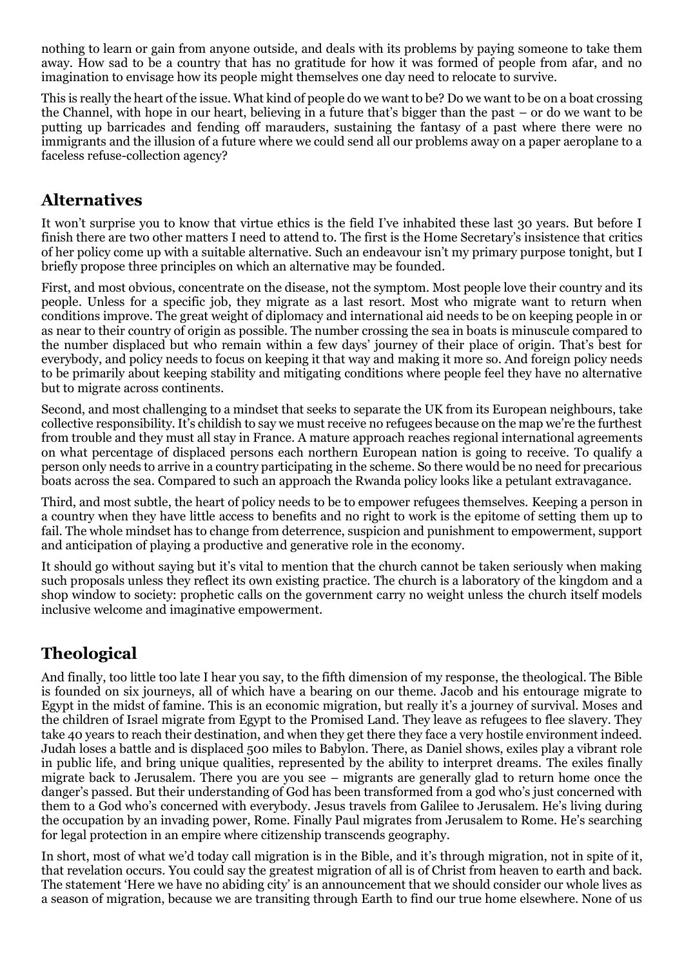nothing to learn or gain from anyone outside, and deals with its problems by paying someone to take them away. How sad to be a country that has no gratitude for how it was formed of people from afar, and no imagination to envisage how its people might themselves one day need to relocate to survive.

This is really the heart of the issue. What kind of people do we want to be? Do we want to be on a boat crossing the Channel, with hope in our heart, believing in a future that's bigger than the past – or do we want to be putting up barricades and fending off marauders, sustaining the fantasy of a past where there were no immigrants and the illusion of a future where we could send all our problems away on a paper aeroplane to a faceless refuse-collection agency?

### **Alternatives**

It won't surprise you to know that virtue ethics is the field I've inhabited these last 30 years. But before I finish there are two other matters I need to attend to. The first is the Home Secretary's insistence that critics of her policy come up with a suitable alternative. Such an endeavour isn't my primary purpose tonight, but I briefly propose three principles on which an alternative may be founded.

First, and most obvious, concentrate on the disease, not the symptom. Most people love their country and its people. Unless for a specific job, they migrate as a last resort. Most who migrate want to return when conditions improve. The great weight of diplomacy and international aid needs to be on keeping people in or as near to their country of origin as possible. The number crossing the sea in boats is minuscule compared to the number displaced but who remain within a few days' journey of their place of origin. That's best for everybody, and policy needs to focus on keeping it that way and making it more so. And foreign policy needs to be primarily about keeping stability and mitigating conditions where people feel they have no alternative but to migrate across continents.

Second, and most challenging to a mindset that seeks to separate the UK from its European neighbours, take collective responsibility. It's childish to say we must receive no refugees because on the map we're the furthest from trouble and they must all stay in France. A mature approach reaches regional international agreements on what percentage of displaced persons each northern European nation is going to receive. To qualify a person only needs to arrive in a country participating in the scheme. So there would be no need for precarious boats across the sea. Compared to such an approach the Rwanda policy looks like a petulant extravagance.

Third, and most subtle, the heart of policy needs to be to empower refugees themselves. Keeping a person in a country when they have little access to benefits and no right to work is the epitome of setting them up to fail. The whole mindset has to change from deterrence, suspicion and punishment to empowerment, support and anticipation of playing a productive and generative role in the economy.

It should go without saying but it's vital to mention that the church cannot be taken seriously when making such proposals unless they reflect its own existing practice. The church is a laboratory of the kingdom and a shop window to society: prophetic calls on the government carry no weight unless the church itself models inclusive welcome and imaginative empowerment.

### **Theological**

And finally, too little too late I hear you say, to the fifth dimension of my response, the theological. The Bible is founded on six journeys, all of which have a bearing on our theme. Jacob and his entourage migrate to Egypt in the midst of famine. This is an economic migration, but really it's a journey of survival. Moses and the children of Israel migrate from Egypt to the Promised Land. They leave as refugees to flee slavery. They take 40 years to reach their destination, and when they get there they face a very hostile environment indeed. Judah loses a battle and is displaced 500 miles to Babylon. There, as Daniel shows, exiles play a vibrant role in public life, and bring unique qualities, represented by the ability to interpret dreams. The exiles finally migrate back to Jerusalem. There you are you see – migrants are generally glad to return home once the danger's passed. But their understanding of God has been transformed from a god who's just concerned with them to a God who's concerned with everybody. Jesus travels from Galilee to Jerusalem. He's living during the occupation by an invading power, Rome. Finally Paul migrates from Jerusalem to Rome. He's searching for legal protection in an empire where citizenship transcends geography.

In short, most of what we'd today call migration is in the Bible, and it's through migration, not in spite of it, that revelation occurs. You could say the greatest migration of all is of Christ from heaven to earth and back. The statement 'Here we have no abiding city' is an announcement that we should consider our whole lives as a season of migration, because we are transiting through Earth to find our true home elsewhere. None of us